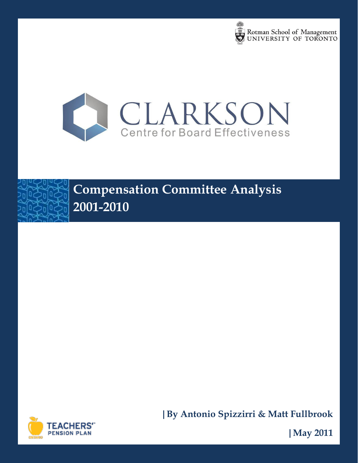



# **Compensation Committee Analysis 2001-2010**



**|By Antonio Spizzirri & Matt Fullbrook**

**|May 2011**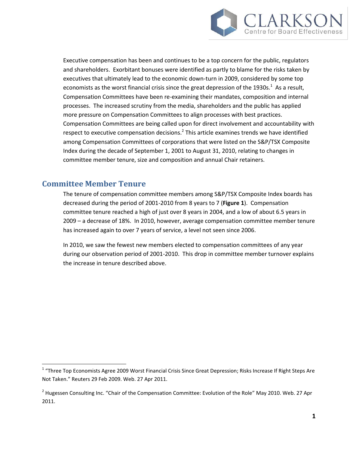

Executive compensation has been and continues to be a top concern for the public, regulators and shareholders. Exorbitant bonuses were identified as partly to blame for the risks taken by executives that ultimately lead to the economic down-turn in 2009, considered by some top economists as the worst financial crisis since the great depression of the 1930s. $^1$  As a result, Compensation Committees have been re-examining their mandates, composition and internal processes. The increased scrutiny from the media, shareholders and the public has applied more pressure on Compensation Committees to align processes with best practices. Compensation Committees are being called upon for direct involvement and accountability with respect to executive compensation decisions.<sup>2</sup> This article examines trends we have identified among Compensation Committees of corporations that were listed on the S&P/TSX Composite Index during the decade of September 1, 2001 to August 31, 2010, relating to changes in committee member tenure, size and composition and annual Chair retainers.

## **Committee Member Tenure**

 $\overline{\phantom{a}}$ 

The tenure of compensation committee members among S&P/TSX Composite Index boards has decreased during the period of 2001-2010 from 8 years to 7 (**Figure 1**). Compensation committee tenure reached a high of just over 8 years in 2004, and a low of about 6.5 years in 2009 – a decrease of 18%. In 2010, however, average compensation committee member tenure has increased again to over 7 years of service, a level not seen since 2006.

In 2010, we saw the fewest new members elected to compensation committees of any year during our observation period of 2001-2010. This drop in committee member turnover explains the increase in tenure described above.

<sup>&</sup>lt;sup>1</sup> "Three Top Economists Agree 2009 Worst Financial Crisis Since Great Depression; Risks Increase If Right Steps Are Not Taken." Reuters 29 Feb 2009. Web. 27 Apr 2011.

<sup>&</sup>lt;sup>2</sup> Hugessen Consulting Inc. "Chair of the Compensation Committee: Evolution of the Role" May 2010. Web. 27 Apr 2011.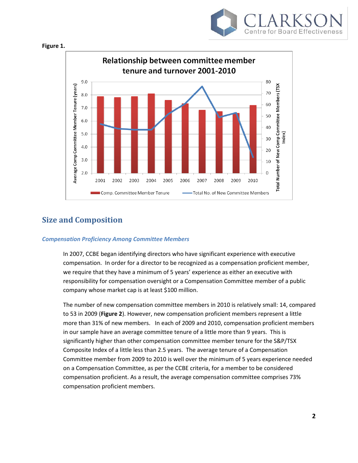





## **Size and Composition**

#### *Compensation Proficiency Among Committee Members*

In 2007, CCBE began identifying directors who have significant experience with executive compensation. In order for a director to be recognized as a compensation proficient member, we require that they have a minimum of 5 years' experience as either an executive with responsibility for compensation oversight or a Compensation Committee member of a public company whose market cap is at least \$100 million.

The number of new compensation committee members in 2010 is relatively small: 14, compared to 53 in 2009 (**Figure 2**). However, new compensation proficient members represent a little more than 31% of new members. In each of 2009 and 2010, compensation proficient members in our sample have an average committee tenure of a little more than 9 years. This is significantly higher than other compensation committee member tenure for the S&P/TSX Composite Index of a little less than 2.5 years. The average tenure of a Compensation Committee member from 2009 to 2010 is well over the minimum of 5 years experience needed on a Compensation Committee, as per the CCBE criteria, for a member to be considered compensation proficient. As a result, the average compensation committee comprises 73% compensation proficient members.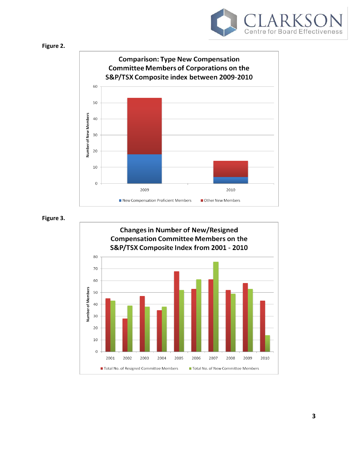





**Figure 3.**

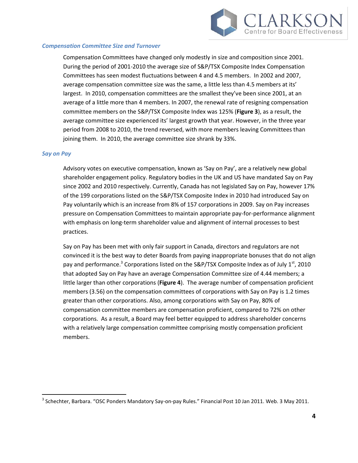

#### *Compensation Committee Size and Turnover*

Compensation Committees have changed only modestly in size and composition since 2001. During the period of 2001-2010 the average size of S&P/TSX Composite Index Compensation Committees has seen modest fluctuations between 4 and 4.5 members. In 2002 and 2007, average compensation committee size was the same, a little less than 4.5 members at its' largest. In 2010, compensation committees are the smallest they've been since 2001, at an average of a little more than 4 members. In 2007, the renewal rate of resigning compensation committee members on the S&P/TSX Composite Index was 125% (**Figure 3**), as a result, the average committee size experienced its' largest growth that year. However, in the three year period from 2008 to 2010, the trend reversed, with more members leaving Committees than joining them. In 2010, the average committee size shrank by 33%.

#### *Say on Pay*

l

Advisory votes on executive compensation, known as 'Say on Pay', are a relatively new global shareholder engagement policy. Regulatory bodies in the UK and US have mandated Say on Pay since 2002 and 2010 respectively. Currently, Canada has not legislated Say on Pay, however 17% of the 199 corporations listed on the S&P/TSX Composite Index in 2010 had introduced Say on Pay voluntarily which is an increase from 8% of 157 corporations in 2009. Say on Pay increases pressure on Compensation Committees to maintain appropriate pay-for-performance alignment with emphasis on long-term shareholder value and alignment of internal processes to best practices.

Say on Pay has been met with only fair support in Canada, directors and regulators are not convinced it is the best way to deter Boards from paying inappropriate bonuses that do not align pay and performance.<sup>3</sup> Corporations listed on the S&P/TSX Composite Index as of July 1<sup>st</sup>, 2010 that adopted Say on Pay have an average Compensation Committee size of 4.44 members; a little larger than other corporations (**Figure 4**). The average number of compensation proficient members (3.56) on the compensation committees of corporations with Say on Pay is 1.2 times greater than other corporations. Also, among corporations with Say on Pay, 80% of compensation committee members are compensation proficient, compared to 72% on other corporations. As a result, a Board may feel better equipped to address shareholder concerns with a relatively large compensation committee comprising mostly compensation proficient members.

<sup>&</sup>lt;sup>3</sup> Schechter, Barbara. "OSC Ponders Mandatory Say-on-pay Rules." Financial Post 10 Jan 2011. Web. 3 May 2011.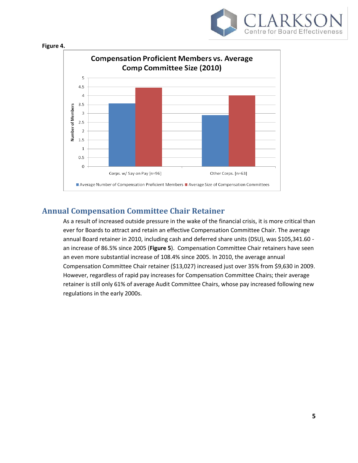





## **Annual Compensation Committee Chair Retainer**

As a result of increased outside pressure in the wake of the financial crisis, it is more critical than ever for Boards to attract and retain an effective Compensation Committee Chair. The average annual Board retainer in 2010, including cash and deferred share units (DSU), was \$105,341.60 an increase of 86.5% since 2005 (**Figure 5**). Compensation Committee Chair retainers have seen an even more substantial increase of 108.4% since 2005. In 2010, the average annual Compensation Committee Chair retainer (\$13,027) increased just over 35% from \$9,630 in 2009. However, regardless of rapid pay increases for Compensation Committee Chairs; their average retainer is still only 61% of average Audit Committee Chairs, whose pay increased following new regulations in the early 2000s.